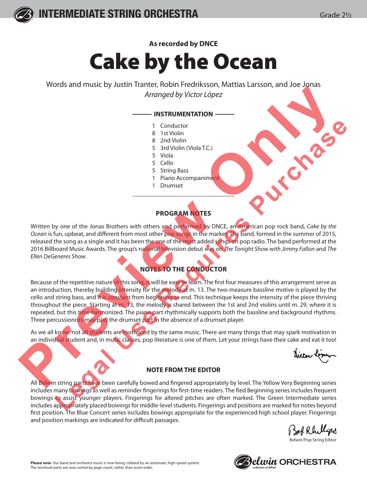

# **As recorded by DNCE** Cake by the Ocean

Words and music by Justin Tranter, Robin Fredriksson, Mattias Larsson, and Joe Jonas *Arranged by Victor López* 

#### **INSTRUMENTATION**

- 1 Conductor
- 8 1st Violin
- 8 2nd Violin
- 5 3rd Violin (Viola T.C.)
- 5 Viola
- 5 Cello
- 5 String Bass
- 1 Piano Accompaniment
- 1 Drumset

## **PROGRAM NOTES**

Written by one of the Jonas Brothers with others and performed by DNCE, an American pop rock band, *Cake by the Ocean* is fun, upbeat, and different from most other pop songs in the market. The band, formed in the summer of 2015, released the song as a single and it has been the one of the most added songs on pop radio. The band performed at the 2016 Billboard Music Awards. The group's national television debut was on *The Tonight Show with Jimmy Fallon* and *The Ellen DeGeneres Show*.

### **NOTES to the Conductor**

Because of the repetitive nature of this song, it will be easy to learn. The first four measures of this arrangement serve as an introduction, thereby building intensity for the melody at m. 13. The two-measure bassline motive is played by the cello and string bass, and it is constant from beginning to end. This technique keeps the intensity of the piece thriving throughout the piece. Starting at m. 13, the melody is shared between the 1st and 2nd violins until m. 29, where it is repeated, but this time harmonized. The piano part rhythmically supports both the bassline and background rhythms. Three percussionists may play the drumset part in the absence of a drumset player. **PROGRAM NOTES CONTROLL THE CANDEL TO THE REVIEW OF THE REVIEW OF THE REVIEW OF THE CONTROLL TO THE CANDEL TO THE CANDEL TO THE CANDEL TO THE CANDEL TO THE CANDEL TO THE CANDEL TO THE CANDEL TO THE CANDEL TO THE CANDEL TO** 1 Conduction<br>
8 and Wollin<br>
8 and Wollin<br>
5 and Wollin<br>
5 and Wollin<br>
5 and Wollin<br>
5 and Wollin<br>
1 Drumset<br>
1 Drumset<br>
1 Drumset<br>
1 Drumset<br>
1 Drumset<br>
1 Drumset<br>
1 Drumset<br>
1 Drumset<br>
1 Drumset<br>
1 Drumset<br>
1 Drumset<br>
1 D

As we all know, not all students are motivated by the same music. There are many things that may spark motivation in an individual student and, in music classes, pop literature is one of them. Let your strings have their cake and eat it too!

#### **NOTE FROM THE EDITOR**

All Belwin string parts have been carefully bowed and fingered appropriately by level. The Yellow Very Beginning series includes many bowings as well as reminder fingerings for first-time readers. The Red Beginning series includes frequent bowings to assist younger players. Fingerings for altered pitches are often marked. The Green Intermediate series includes appropriately placed bowings for middle-level students. Fingerings and positions are marked for notes beyond first position. The Blue Concert series includes bowings appropriate for the experienced high school player. Fingerings and position markings are indicated for difficult passages.

Bob Rhillips Belwin/Pop String Editor



**Please note**: Our band and orchestra music is now being collated by an automatic high-speed system. The enclosed parts are now sorted by page count, rather than score order.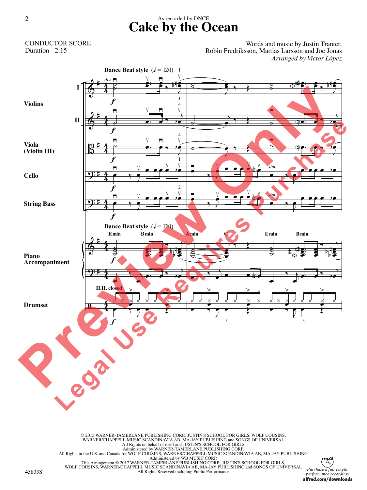# As recorded by DNCE **Cake by the Ocean**

CONDUCTOR SCORE Duration - 2:15

Words and music by Justin Tranter, Robin Fredriksson, Mattias Larsson and Joe Jonas *Arranged by Victor López* 

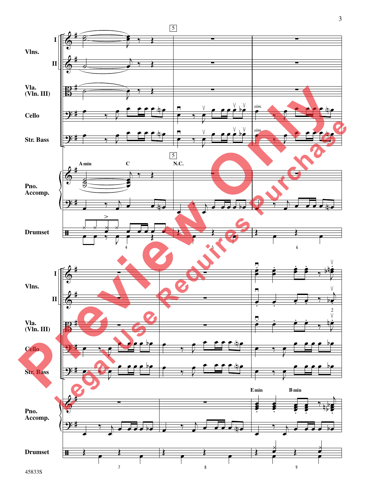

3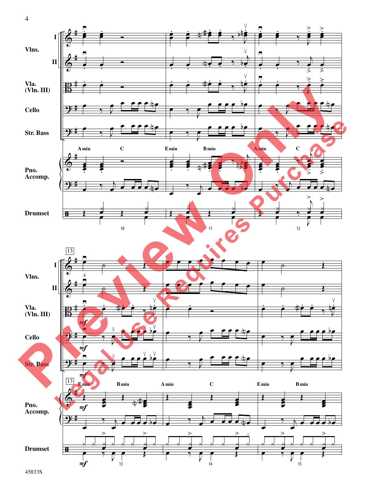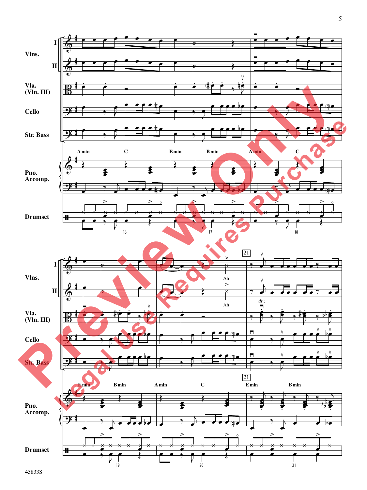![](_page_4_Figure_0.jpeg)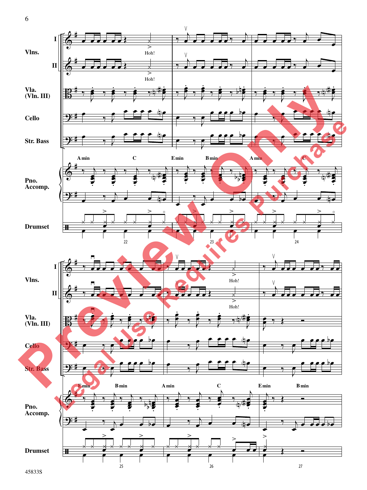$\Phi$  $\pmb{\Phi}$ B  $\bullet$  $9:$  $\pmb{\Phi}$ <u>.</u>  $\bf H$ # # # # # # **Vlns. I II Vla. (Vln. III) Cello Str. Bass Pno. Accomp. Drumset**  $e$   $e$   $e$   $e$   $e$   $e$   $\rightarrow$  $\ge$ <br>Hoh!  $\bullet$   $\bullet$   $\bullet$   $\bullet$   $\bullet$   $\star$ > Hoh!  $\frac{1}{\sqrt{2}}$ ė<br>P  $\frac{1}{2}$   $\frac{1}{2}$   $\frac{1}{2}$ ė<br>R  $\frac{1}{2}$   $\frac{1}{2}$   $\frac{1}{2}$ .<br>P  $\frac{1}{2}$  ,  $\frac{1}{2}$   $\frac{1}{2}$  $\frac{1}{\frac{1}{2}}$ œ ‰ J <u>e e e e q</u> œ ‰ J <u>e e e e q</u>  $\rightarrow$ œœ e<br>م .  $\gamma$ œœ e<br>م .  $\gamma \rightarrow$ œœ e<br>م .  $\gamma$ <sub>i</sub> dhe œœ ē<br>.  $\overline{\Phi^{(0,0)}_{\ \ \, \bullet}}$  $\bullet$  $\begin{array}{|c|c|c|}\n\hline\n\end{array}$ 22  $\overline{\star}$   $\overline{\star}$ œ  $\geq$ ¿ ¿ ¿ ¿ œ  $\geq$  $\times$ o ——*∙*<br>● ● ● ● **Amin C**  $\frac{1}{7}$ œ <sup>œ</sup> <sup>œ</sup> <sup>œ</sup> <sup>œ</sup> <sup>œ</sup> ‰ <sup>j</sup> œ  $\frac{1}{2}$ œ ≤  $\overline{c}$   $\overline{c}$   $\overline{c}$   $\overline{c}$   $\overline{c}$ œ  $\frac{1}{2}$ œœ  $\frac{1}{2}$ œœ  $\frac{1}{2}$  $\dot{\mathbf{e}}$  $\frac{1}{2}$  ,  $\frac{1}{2}$  $\frac{1}{2}$  $\bullet$   $\bullet$   $\bullet$ œ œ œ œ œ œb  $\bullet$   $\bullet$   $\bullet$ œ œ œ œ œ œb  $\cdot$ œœ ě<br>! .  $\cdot$ œœ ě<br>? .  $\overline{y}$ e<br>e<br>. .  $, \frac{1}{2}$  $\overline{b}$ . œ  $^{\bullet}$ œ  $e \rightarrow e$ 23 ¿ ¿ ¿ œ **>**<br>→  $\overline{\mathsf{v}}$   $\overline{\mathsf{v}}$   $\overline{\mathsf{v}}$   $\overline{\mathsf{v}}$ œ  $\geq$ ¿ œ œ œ œ **Emin Bmin** <sup>œ</sup> <sup>œ</sup> <sup>œ</sup> <sup>œ</sup> <sup>œ</sup> ‰ <sup>j</sup>  $\overline{\phantom{a}}$ œ  $\overline{c}$   $\overline{c}$   $\overline{c}$   $\overline{c}$   $\overline{c}$   $\overline{c}$  $\Box$ œ  $\frac{1}{\sqrt{2}}$ ė<br>P  $\frac{1}{2}$   $\frac{1}{2}$ .<br>P  $\frac{1}{2}$ œœ  $\frac{1}{2}$  $\frac{1}{\frac{1}{2}}$ œ  $\overline{2}$ e e e e que œ  $\frac{1}{2}$ e e e e die  $\rightarrow$ œœ ē. .  $\gamma \rightarrow$ œœ œ .  $\frac{1}{2}$ œœ ē<br>? .  $\gamma$  is  $\rightarrow$ œœ ē<br>.  $\overline{\Phi^{(0,0)}_{\ \ \, \bullet}}$ e we  $\qquad \qquad \bullet$ 24  $\overline{\star}$   $\overline{\star}$ œ  $\geq$ ¿ ¿ ¿ ¿ œ  $\geq$  $\times$ o ——●<br>● ● ● ● **Amin C**  $\pmb{\Phi}$  $\pmb{\Phi}$ ⋕ 9: <u>.</u> & <u>.</u>  $\bf{H}$ # # # # # # # **Vlns. I II Vla. (Vln. III) Cello Str. Bass Pno. Accomp. Drumset**  $^{\circ}$ ≥ œ œ œ œ œ œ œ œ  $^{\circ}$ ≥ **.**  $\Rightarrow$ œœ . ≥  $\mathcal{L}$ .<br>E  $\frac{1}{\sqrt{2}}$ ė<br>R  $\frac{1}{2}$  $\frac{1}{2}$  $\overline{\phantom{a}}$  $\overline{\mathbf{f}}$ e pe e be  $\mathbf{e}$  $\dot{\mathbf{f}}$ œ œ œ œ œb  $\left\langle \frac{1}{2} \right\rangle$ œœ e<br>م .  $\rightarrow$ œœ ē. .  $\left\langle \frac{1}{2} \right\rangle$  $\ddot{\bullet}$ .  $\overline{y}$  j  $\overline{p}$ . œ  $^{\bullet}$ œ  $e \rightarrow e$  $\overline{\star}$   $\overline{\star}$ œ  $\geq$ ¿ ¿ ¿ ¿ œ  $\geq$  $\times$ œ œ œ œ **Emin Bmin**  $^{\circ}$ ≤  $\frac{1}{2}$  $\overline{\smash{\gt}}$ <br>Hoh!  $^{\prime}$ ≤  $\bullet$   $\bullet$   $\bullet$   $\star$ > Hoh!  $\frac{1}{2}$ œ œ  $\frac{1}{2}$ œ œ  $\frac{1}{2}$   $\frac{1}{2}$ .<br>E  $\frac{1}{2}$  ,  $\frac{1}{2}$  ,  $\frac{1}{2}$  ,  $\frac{1}{2}$  ,  $\frac{1}{2}$  ,  $\frac{1}{2}$  ,  $\frac{1}{2}$  ,  $\frac{1}{2}$  ,  $\frac{1}{2}$  ,  $\frac{1}{2}$  ,  $\frac{1}{2}$  ,  $\frac{1}{2}$  ,  $\frac{1}{2}$  ,  $\frac{1}{2}$  ,  $\frac{1}{2}$  ,  $\frac{1}{2}$  ,  $\frac{1}{2}$  ,  $\frac{1}{2}$  ,  $\frac{1$  $\frac{1}{2}$ œ  $\frac{1}{2}$ <u>e e e e q</u> œ  $\frac{1}{2}$ <u>e e e e q</u>  $\overline{y}$ œ œœ .  $\overline{y}$ œ œœ .  $\frac{1}{\gamma}$ œœ z<br>?  $\frac{1}{\sqrt{1+\frac{1}{2}}}$ œ  $\overline{\mathbb{Q}^{(4)}}$  $\bullet$   $\bullet$   $\bullet$  $\qquad \qquad \bullet$ ¿ ¿ ¿ œ >  $\overline{\star}$   $\overline{\star}$   $\overline{\star}$ œ  $\geq$  $\overline{\cdot}$ œ œ œ œ **Amin C**  $\frac{1}{2}$ œ ≤ œ œ œ œ œ œ ‰ œ œ  $\frac{1}{2}$ œ ≤  $\bullet$   $\bullet$   $\bullet$   $\bullet$   $\bullet$   $\circ$   $\bullet$  $\nabla$ œ  $\frac{1}{2}$   $\frac{1}{2}$   $\frac{1}{2}$   $\frac{1}{2}$  $\bullet$   $\bullet$   $\bullet$ œ œ œ œ œ œb  $\bullet$   $\bullet$   $\bullet$ œ œ œ œ œ œb  $\overline{A}$ œœ e<br>م .  $\frac{1}{2}$   $\frac{1}{2}$  = œ  $^{\bullet}$ œ  $e$   $e$   $e$   $e$   $b$   $e$ ¿ œ  $>$ Œ Ó œ **Emin Bmin Preview Only Legal Use Requires Purchase**

26

27

≤

 $25$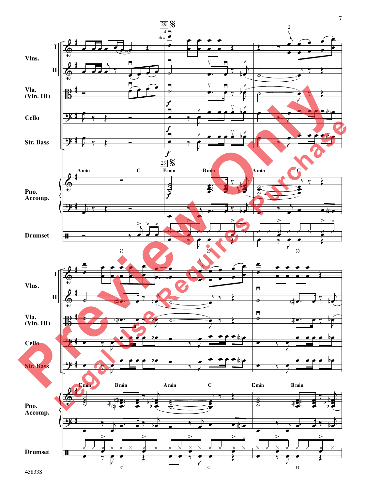![](_page_6_Figure_0.jpeg)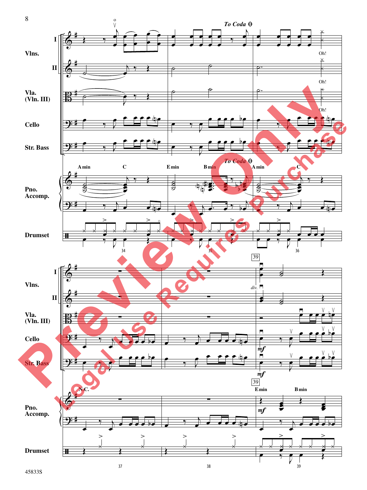![](_page_7_Figure_0.jpeg)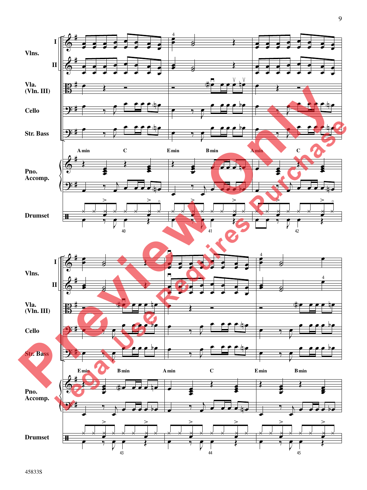![](_page_8_Figure_0.jpeg)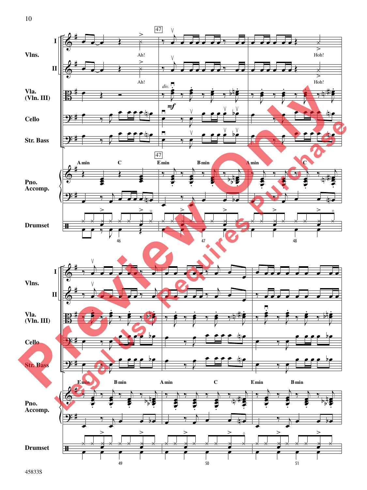![](_page_9_Figure_0.jpeg)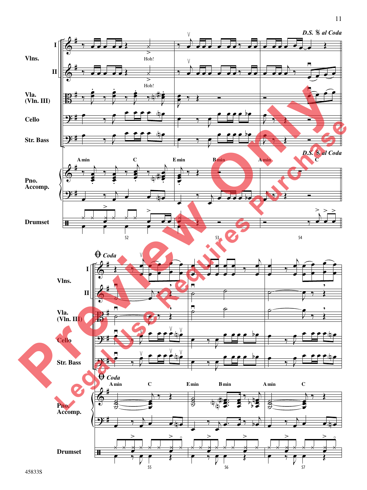![](_page_10_Figure_0.jpeg)